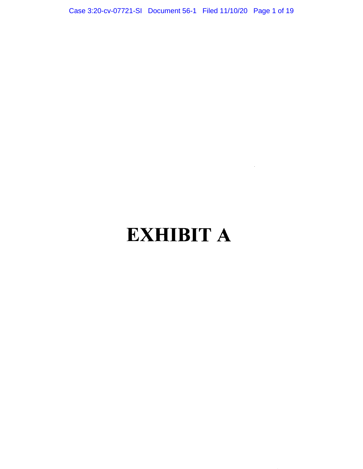Case 3:20-cv-07721-SI Document 56-1 Filed 11/10/20 Page 1 of 19

# **EXHIBIT A**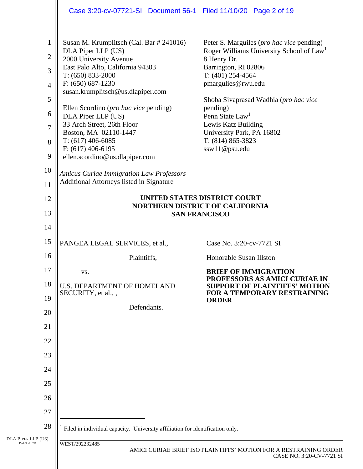|                                 | Case 3:20-cv-07721-SI Document 56-1 Filed 11/10/20 Page 2 of 19               |                                                                                                           |
|---------------------------------|-------------------------------------------------------------------------------|-----------------------------------------------------------------------------------------------------------|
|                                 |                                                                               |                                                                                                           |
| $\mathbf{1}$                    | Susan M. Krumplitsch (Cal. Bar # 241016)<br>DLA Piper LLP (US)                | Peter S. Marguiles ( <i>pro hac vice</i> pending)<br>Roger Williams University School of Law <sup>1</sup> |
| $\overline{2}$                  | 2000 University Avenue                                                        | 8 Henry Dr.                                                                                               |
| 3                               | East Palo Alto, California 94303<br>$T: (650) 833-2000$                       | Barrington, RI 02806<br>T: $(401)$ 254-4564                                                               |
| $\overline{4}$                  | $F: (650) 687-1230$                                                           | pmargulies@rwu.edu                                                                                        |
|                                 | susan.krumplitsch@us.dlapiper.com                                             |                                                                                                           |
| 5                               | Ellen Scordino ( <i>pro hac vice</i> pending)                                 | Shoba Sivaprasad Wadhia (pro hac vice<br>pending)                                                         |
| 6                               | DLA Piper LLP (US)                                                            | Penn State Law <sup>1</sup>                                                                               |
| 7                               | 33 Arch Street, 26th Floor<br>Boston, MA 02110-1447                           | Lewis Katz Building<br>University Park, PA 16802                                                          |
| 8                               | $T: (617)$ 406-6085                                                           | $T: (814) 865 - 3823$                                                                                     |
|                                 | $F: (617) 406-6195$                                                           | ssw11@psu.edu                                                                                             |
| 9                               | ellen.scordino@us.dlapiper.com                                                |                                                                                                           |
| 10                              | <b>Amicus Curiae Immigration Law Professors</b>                               |                                                                                                           |
| 11                              | Additional Attorneys listed in Signature                                      |                                                                                                           |
| 12                              |                                                                               | <b>UNITED STATES DISTRICT COURT</b>                                                                       |
|                                 | <b>NORTHERN DISTRICT OF CALIFORNIA</b>                                        |                                                                                                           |
| 13                              |                                                                               | <b>SAN FRANCISCO</b>                                                                                      |
| 14                              |                                                                               |                                                                                                           |
| 15                              | PANGEA LEGAL SERVICES, et al.,                                                | Case No. 3:20-cv-7721 SI                                                                                  |
| 16                              | Plaintiffs,                                                                   | Honorable Susan Illston                                                                                   |
| 17                              | VS.                                                                           | <b>BRIEF OF IMMIGRATION</b>                                                                               |
| 18                              | <b>U.S. DEPARTMENT OF HOMELAND</b>                                            | PROFESSORS AS AMICI CURIAE IN<br><b>SUPPORT OF PLAINTIFFS' MOTION</b>                                     |
| 19                              | SECURITY, et al.,,                                                            | FOR A TEMPORARY RESTRAINING<br><b>ORDER</b>                                                               |
| 20                              | Defendants.                                                                   |                                                                                                           |
| 21                              |                                                                               |                                                                                                           |
|                                 |                                                                               |                                                                                                           |
| 22                              |                                                                               |                                                                                                           |
| 23                              |                                                                               |                                                                                                           |
| 24                              |                                                                               |                                                                                                           |
| 25                              |                                                                               |                                                                                                           |
| 26                              |                                                                               |                                                                                                           |
| 27                              |                                                                               |                                                                                                           |
|                                 |                                                                               |                                                                                                           |
| 28                              | Filed in individual capacity. University affiliation for identification only. |                                                                                                           |
| DLA PIPER LLP (US)<br>PALO ALTO | WEST/292232485                                                                |                                                                                                           |
|                                 |                                                                               | AMICI CURIAE BRIEF ISO PLAINTIFFS' MOTION FOR A RESTRAINING ORDER<br>CASE NO. 3:20-CV-7721 SI             |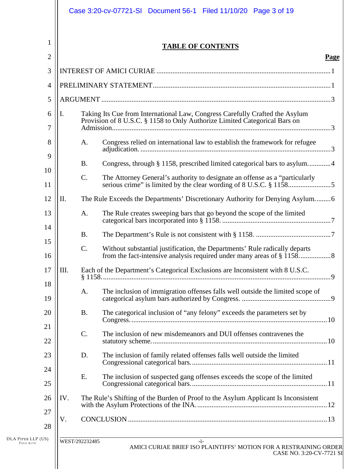| 1<br><b>TABLE OF CONTENTS</b><br>$\overline{2}$<br><b>Page</b><br>3<br>4<br>5<br>Taking Its Cue from International Law, Congress Carefully Crafted the Asylum<br>6<br>I.<br>Provision of 8 U.S.C. § 1158 to Only Authorize Limited Categorical Bars on<br>7<br>Congress relied on international law to establish the framework for refugee<br>8<br>A.<br>9<br>Congress, through § 1158, prescribed limited categorical bars to asylum4<br><b>B.</b><br>10<br>$C$ .<br>The Attorney General's authority to designate an offense as a "particularly<br>11<br>12<br>II.<br>The Rule Exceeds the Departments' Discretionary Authority for Denying Asylum6 |
|-------------------------------------------------------------------------------------------------------------------------------------------------------------------------------------------------------------------------------------------------------------------------------------------------------------------------------------------------------------------------------------------------------------------------------------------------------------------------------------------------------------------------------------------------------------------------------------------------------------------------------------------------------|
|                                                                                                                                                                                                                                                                                                                                                                                                                                                                                                                                                                                                                                                       |
|                                                                                                                                                                                                                                                                                                                                                                                                                                                                                                                                                                                                                                                       |
|                                                                                                                                                                                                                                                                                                                                                                                                                                                                                                                                                                                                                                                       |
|                                                                                                                                                                                                                                                                                                                                                                                                                                                                                                                                                                                                                                                       |
|                                                                                                                                                                                                                                                                                                                                                                                                                                                                                                                                                                                                                                                       |
|                                                                                                                                                                                                                                                                                                                                                                                                                                                                                                                                                                                                                                                       |
|                                                                                                                                                                                                                                                                                                                                                                                                                                                                                                                                                                                                                                                       |
|                                                                                                                                                                                                                                                                                                                                                                                                                                                                                                                                                                                                                                                       |
|                                                                                                                                                                                                                                                                                                                                                                                                                                                                                                                                                                                                                                                       |
|                                                                                                                                                                                                                                                                                                                                                                                                                                                                                                                                                                                                                                                       |
| 13<br>The Rule creates sweeping bars that go beyond the scope of the limited<br>A.                                                                                                                                                                                                                                                                                                                                                                                                                                                                                                                                                                    |
| 14<br><b>B.</b>                                                                                                                                                                                                                                                                                                                                                                                                                                                                                                                                                                                                                                       |
| 15<br>C.<br>Without substantial justification, the Departments' Rule radically departs<br>16                                                                                                                                                                                                                                                                                                                                                                                                                                                                                                                                                          |
| III.<br>17<br>Each of the Department's Categorical Exclusions are Inconsistent with 8 U.S.C.                                                                                                                                                                                                                                                                                                                                                                                                                                                                                                                                                          |
| 18<br>The inclusion of immigration offenses falls well outside the limited scope of<br>A.<br>19                                                                                                                                                                                                                                                                                                                                                                                                                                                                                                                                                       |
| 20<br><b>B.</b><br>The categorical inclusion of "any felony" exceeds the parameters set by                                                                                                                                                                                                                                                                                                                                                                                                                                                                                                                                                            |
| 21<br>$C$ .<br>The inclusion of new misdemeanors and DUI offenses contravenes the<br>22                                                                                                                                                                                                                                                                                                                                                                                                                                                                                                                                                               |
| 23<br>D.<br>The inclusion of family related offenses falls well outside the limited                                                                                                                                                                                                                                                                                                                                                                                                                                                                                                                                                                   |
| 24<br>The inclusion of suspected gang offenses exceeds the scope of the limited<br>Ε.<br>25                                                                                                                                                                                                                                                                                                                                                                                                                                                                                                                                                           |
| The Rule's Shifting of the Burden of Proof to the Asylum Applicant Is Inconsistent<br>26<br>IV.                                                                                                                                                                                                                                                                                                                                                                                                                                                                                                                                                       |
| 27<br>V.<br>28                                                                                                                                                                                                                                                                                                                                                                                                                                                                                                                                                                                                                                        |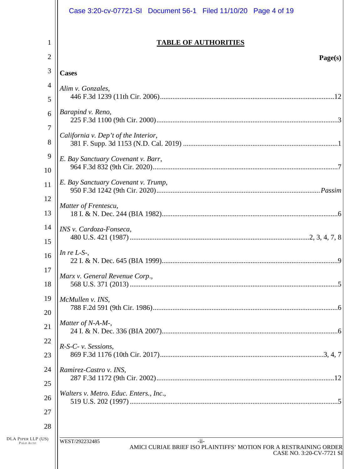|                                 | Case 3:20-cv-07721-SI Document 56-1 Filed 11/10/20 Page 4 of 19                                                           |
|---------------------------------|---------------------------------------------------------------------------------------------------------------------------|
| 1<br>$\overline{2}$             | <b>TABLE OF AUTHORITIES</b>                                                                                               |
| 3                               | Page(s)                                                                                                                   |
| 4                               | <b>Cases</b>                                                                                                              |
| 5                               | Alim v. Gonzales,                                                                                                         |
| 6                               | Barapind v. Reno,                                                                                                         |
| 7                               | California v. Dep't of the Interior,                                                                                      |
| 8                               |                                                                                                                           |
| 9<br>10                         | E. Bay Sanctuary Covenant v. Barr,                                                                                        |
| 11                              | E. Bay Sanctuary Covenant v. Trump,                                                                                       |
| 12                              | Matter of Frentescu,                                                                                                      |
| 13                              |                                                                                                                           |
| 14                              | INS v. Cardoza-Fonseca,                                                                                                   |
| 15                              |                                                                                                                           |
| 16                              | In re $L-S$ -,                                                                                                            |
| 17<br>18                        | Marx v. General Revenue Corp.,                                                                                            |
| 19                              | McMullen v. INS,                                                                                                          |
| 20                              |                                                                                                                           |
| 21                              | Matter of N-A-M-,                                                                                                         |
| 22                              | R-S-C- v. Sessions,                                                                                                       |
| 23                              |                                                                                                                           |
| 24                              | Ramirez-Castro v. INS,                                                                                                    |
| 25                              |                                                                                                                           |
| 26                              | Walters v. Metro. Educ. Enters., Inc.,                                                                                    |
| 27                              |                                                                                                                           |
| 28                              |                                                                                                                           |
| DLA PIPER LLP (US)<br>PALO ALTO | WEST/292232485<br>$-ii-$<br>AMICI CURIAE BRIEF ISO PLAINTIFFS' MOTION FOR A RESTRAINING ORDER<br>CASE NO. 3:20-CV-7721 SI |
|                                 |                                                                                                                           |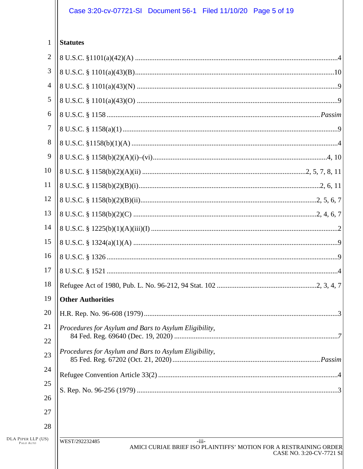# Case 3:20-cv-07721-SI Document 56-1 Filed 11/10/20 Page 5 of 19

| 1                                                     | <b>Statutes</b>                                                                                                            |  |
|-------------------------------------------------------|----------------------------------------------------------------------------------------------------------------------------|--|
| $\overline{2}$                                        |                                                                                                                            |  |
| 3                                                     |                                                                                                                            |  |
| 4                                                     |                                                                                                                            |  |
| 5                                                     |                                                                                                                            |  |
| 6                                                     |                                                                                                                            |  |
| 7                                                     |                                                                                                                            |  |
| 8                                                     |                                                                                                                            |  |
| 9                                                     |                                                                                                                            |  |
| 10                                                    |                                                                                                                            |  |
| 11                                                    |                                                                                                                            |  |
| 12                                                    |                                                                                                                            |  |
| 13                                                    |                                                                                                                            |  |
| 14                                                    |                                                                                                                            |  |
| 15                                                    |                                                                                                                            |  |
| 16                                                    |                                                                                                                            |  |
| 17                                                    |                                                                                                                            |  |
| 18                                                    |                                                                                                                            |  |
| 19                                                    | <b>Other Authorities</b>                                                                                                   |  |
| 20                                                    |                                                                                                                            |  |
| 21                                                    | Procedures for Asylum and Bars to Asylum Eligibility,                                                                      |  |
| 22                                                    |                                                                                                                            |  |
| 23                                                    | Procedures for Asylum and Bars to Asylum Eligibility,                                                                      |  |
| 24                                                    |                                                                                                                            |  |
| 25                                                    |                                                                                                                            |  |
| 26                                                    |                                                                                                                            |  |
| 27                                                    |                                                                                                                            |  |
| 28                                                    |                                                                                                                            |  |
| $\rm{DLA}$ PIPER $\rm{LLP}$ (US) $\rm{_{PALO\;ALTO}}$ | WEST/292232485<br>$-iii-$<br>AMICI CURIAE BRIEF ISO PLAINTIFFS' MOTION FOR A RESTRAINING ORDER<br>CASE NO. 3:20-CV-7721 S. |  |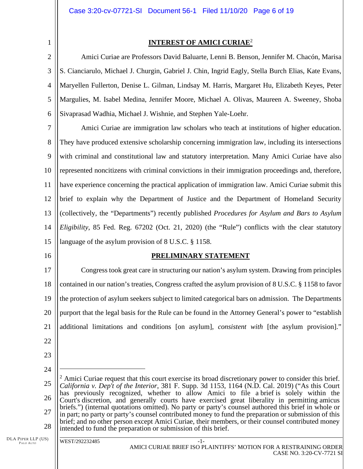2

1

# **INTEREST OF AMICI CURIAE**<sup>2</sup>

3 4 5 6 Amici Curiae are Professors David Baluarte, Lenni B. Benson, Jennifer M. Chacón, Marisa S. Cianciarulo, Michael J. Churgin, Gabriel J. Chin, Ingrid Eagly, Stella Burch Elias, Kate Evans, Maryellen Fullerton, Denise L. Gilman, Lindsay M. Harris, Margaret Hu, Elizabeth Keyes, Peter Margulies, M. Isabel Medina, Jennifer Moore, Michael A. Olivas, Maureen A. Sweeney, Shoba Sivaprasad Wadhia, Michael J. Wishnie, and Stephen Yale-Loehr.

7 8 9 10 11 12 13 14 15 Amici Curiae are immigration law scholars who teach at institutions of higher education. They have produced extensive scholarship concerning immigration law, including its intersections with criminal and constitutional law and statutory interpretation. Many Amici Curiae have also represented noncitizens with criminal convictions in their immigration proceedings and, therefore, have experience concerning the practical application of immigration law. Amici Curiae submit this brief to explain why the Department of Justice and the Department of Homeland Security (collectively, the "Departments") recently published *Procedures for Asylum and Bars to Asylum Eligibility*, 85 Fed. Reg. 67202 (Oct. 21, 2020) (the "Rule") conflicts with the clear statutory language of the asylum provision of 8 U.S.C. § 1158.

16

# **PRELIMINARY STATEMENT**

17 18 19 20 21 Congress took great care in structuring our nation's asylum system. Drawing from principles contained in our nation's treaties, Congress crafted the asylum provision of 8 U.S.C. § 1158 to favor the protection of asylum seekers subject to limited categorical bars on admission. The Departments purport that the legal basis for the Rule can be found in the Attorney General's power to "establish additional limitations and conditions [on asylum], *consistent with* [the asylum provision]."

- 22
- 23
- 24

25 26 27 28 <sup>2</sup> Amici Curiae request that this court exercise its broad discretionary power to consider this brief. *California v. Dep't of the Interior*, 381 F. Supp. 3d 1153, 1164 (N.D. Cal. 2019) ("As this Court has previously recognized, whether to allow Amici to file a brief is solely within the Court's discretion, and generally courts have exercised great liberality in permitting amicus briefs.") (internal quotations omitted). No party or party's counsel authored this brief in whole or in part; no party or party's counsel contributed money to fund the preparation or submission of this brief; and no other person except Amici Curiae, their members, or their counsel contributed money intended to fund the preparation or submission of this brief.

DLA PIPER LLP (US) PALO ALTO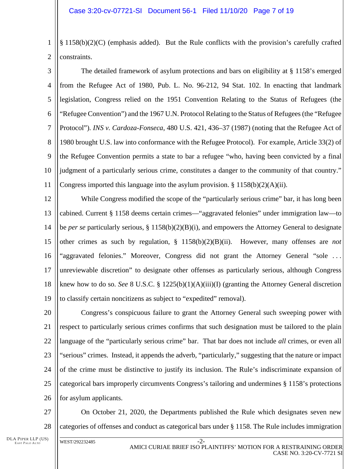1  $\mathcal{L}$ § 1158(b)(2)(C) (emphasis added). But the Rule conflicts with the provision's carefully crafted constraints.

3 4 5 6 7 8 9 10 11 The detailed framework of asylum protections and bars on eligibility at § 1158's emerged from the Refugee Act of 1980, Pub. L. No. 96-212, 94 Stat. 102. In enacting that landmark legislation, Congress relied on the 1951 Convention Relating to the Status of Refugees (the "Refugee Convention") and the 1967 U.N. Protocol Relating to the Status of Refugees (the "Refugee Protocol"). *INS v. Cardoza-Fonseca*, 480 U.S. 421, 436–37 (1987) (noting that the Refugee Act of 1980 brought U.S. law into conformance with the Refugee Protocol). For example, Article 33(2) of the Refugee Convention permits a state to bar a refugee "who, having been convicted by a final judgment of a particularly serious crime, constitutes a danger to the community of that country." Congress imported this language into the asylum provision.  $\S 1158(b)(2)(A)(ii)$ .

12 13 14 15 16 17 18 19 While Congress modified the scope of the "particularly serious crime" bar, it has long been cabined. Current § 1158 deems certain crimes—"aggravated felonies" under immigration law—to be *per se* particularly serious, § 1158(b)(2)(B)(i), and empowers the Attorney General to designate other crimes as such by regulation, § 1158(b)(2)(B)(ii). However, many offenses are *not*  "aggravated felonies." Moreover, Congress did not grant the Attorney General "sole ... unreviewable discretion" to designate other offenses as particularly serious, although Congress knew how to do so. *See* 8 U.S.C. § 1225(b)(1)(A)(iii)(I) (granting the Attorney General discretion to classify certain noncitizens as subject to "expedited" removal).

20 21 22 23 24 25 26 Congress's conspicuous failure to grant the Attorney General such sweeping power with respect to particularly serious crimes confirms that such designation must be tailored to the plain language of the "particularly serious crime" bar. That bar does not include *all* crimes, or even all "serious" crimes. Instead, it appends the adverb, "particularly," suggesting that the nature or impact of the crime must be distinctive to justify its inclusion. The Rule's indiscriminate expansion of categorical bars improperly circumvents Congress's tailoring and undermines § 1158's protections for asylum applicants.

27 28 On October 21, 2020, the Departments published the Rule which designates seven new categories of offenses and conduct as categorical bars under § 1158. The Rule includes immigration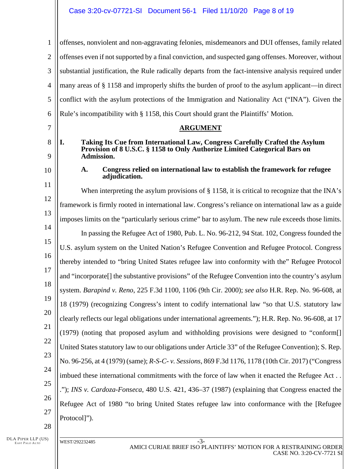1  $\mathcal{D}_{\mathcal{L}}$ 3 4 5 6 7 8 9 10 11 12 13 14 15 16 17 18 19 20 21 22 23 24 25 26 27 28 offenses, nonviolent and non-aggravating felonies, misdemeanors and DUI offenses, family related offenses even if not supported by a final conviction, and suspected gang offenses. Moreover, without substantial justification, the Rule radically departs from the fact-intensive analysis required under many areas of § 1158 and improperly shifts the burden of proof to the asylum applicant—in direct conflict with the asylum protections of the Immigration and Nationality Act ("INA"). Given the Rule's incompatibility with § 1158, this Court should grant the Plaintiffs' Motion. **ARGUMENT I. Taking Its Cue from International Law, Congress Carefully Crafted the Asylum Provision of 8 U.S.C. § 1158 to Only Authorize Limited Categorical Bars on Admission. A. Congress relied on international law to establish the framework for refugee adjudication.**  When interpreting the asylum provisions of  $\S 1158$ , it is critical to recognize that the INA's framework is firmly rooted in international law. Congress's reliance on international law as a guide imposes limits on the "particularly serious crime" bar to asylum. The new rule exceeds those limits. In passing the Refugee Act of 1980, Pub. L. No. 96-212, 94 Stat. 102, Congress founded the U.S. asylum system on the United Nation's Refugee Convention and Refugee Protocol. Congress thereby intended to "bring United States refugee law into conformity with the" Refugee Protocol and "incorporate[] the substantive provisions" of the Refugee Convention into the country's asylum system. *Barapind v. Reno*, 225 F.3d 1100, 1106 (9th Cir. 2000); *see also* H.R. Rep. No. 96-608, at 18 (1979) (recognizing Congress's intent to codify international law "so that U.S. statutory law clearly reflects our legal obligations under international agreements."); H.R. Rep. No. 96-608, at 17 (1979) (noting that proposed asylum and withholding provisions were designed to "conform[] United States statutory law to our obligations under Article 33" of the Refugee Convention); S. Rep. No. 96-256, at 4 (1979) (same); *R-S-C- v. Sessions*, 869 F.3d 1176, 1178 (10th Cir. 2017) ("Congress imbued these international commitments with the force of law when it enacted the Refugee Act . . ."); *INS v. Cardoza-Fonseca*, 480 U.S. 421, 436–37 (1987) (explaining that Congress enacted the Refugee Act of 1980 "to bring United States refugee law into conformance with the [Refugee Protocol]").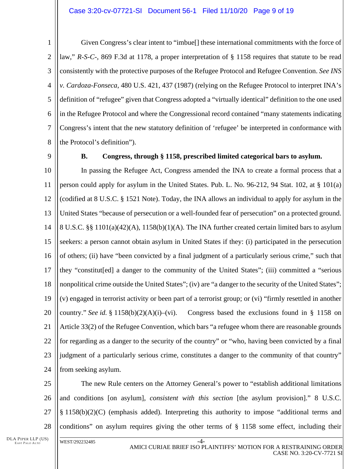#### Case 3:20-cv-07721-SI Document 56-1 Filed 11/10/20 Page 9 of 19

 $\mathcal{L}$ 3 4 5 6 7 8 Given Congress's clear intent to "imbue[] these international commitments with the force of law," *R-S-C-*, 869 F.3d at 1178, a proper interpretation of § 1158 requires that statute to be read consistently with the protective purposes of the Refugee Protocol and Refugee Convention. *See INS v. Cardoza-Fonseca*, 480 U.S. 421, 437 (1987) (relying on the Refugee Protocol to interpret INA's definition of "refugee" given that Congress adopted a "virtually identical" definition to the one used in the Refugee Protocol and where the Congressional record contained "many statements indicating Congress's intent that the new statutory definition of 'refugee' be interpreted in conformance with the Protocol's definition").

9

#### **B. Congress, through § 1158, prescribed limited categorical bars to asylum.**

10 11 12 13 14 15 16 17 18 19 20 21 22 23 24 In passing the Refugee Act, Congress amended the INA to create a formal process that a person could apply for asylum in the United States. Pub. L. No. 96-212, 94 Stat. 102, at § 101(a) (codified at 8 U.S.C. § 1521 Note). Today, the INA allows an individual to apply for asylum in the United States "because of persecution or a well-founded fear of persecution" on a protected ground. 8 U.S.C. §§ 1101(a)(42)(A), 1158(b)(1)(A). The INA further created certain limited bars to asylum seekers: a person cannot obtain asylum in United States if they: (i) participated in the persecution of others; (ii) have "been convicted by a final judgment of a particularly serious crime," such that they "constitut[ed] a danger to the community of the United States"; (iii) committed a "serious nonpolitical crime outside the United States"; (iv) are "a danger to the security of the United States"; (v) engaged in terrorist activity or been part of a terrorist group; or (vi) "firmly resettled in another country." *See id.* § 1158(b)(2)(A)(i)–(vi). Congress based the exclusions found in § 1158 on Article 33(2) of the Refugee Convention, which bars "a refugee whom there are reasonable grounds for regarding as a danger to the security of the country" or "who, having been convicted by a final judgment of a particularly serious crime, constitutes a danger to the community of that country" from seeking asylum.

25 26 27 28 The new Rule centers on the Attorney General's power to "establish additional limitations and conditions [on asylum], *consistent with this section* [the asylum provision]." 8 U.S.C. § 1158(b)(2)(C) (emphasis added). Interpreting this authority to impose "additional terms and conditions" on asylum requires giving the other terms of § 1158 some effect, including their

DLA PIPER LLP (US) EAST PALO ALTO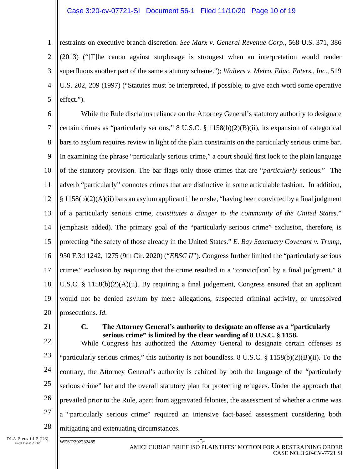#### Case 3:20-cv-07721-SI Document 56-1 Filed 11/10/20 Page 10 of 19

1  $\mathcal{L}$ 3 4 5 restraints on executive branch discretion. *See Marx v. General Revenue Corp*., 568 U.S. 371, 386 (2013) ("[T]he canon against surplusage is strongest when an interpretation would render superfluous another part of the same statutory scheme."); *Walters v. Metro. Educ. Enters., Inc*., 519 U.S. 202, 209 (1997) ("Statutes must be interpreted, if possible, to give each word some operative effect.").

6 7 8 9 10 11 12 13 14 15 16 17 18 19 20 While the Rule disclaims reliance on the Attorney General's statutory authority to designate certain crimes as "particularly serious," 8 U.S.C. § 1158(b)(2)(B)(ii), its expansion of categorical bars to asylum requires review in light of the plain constraints on the particularly serious crime bar. In examining the phrase "particularly serious crime," a court should first look to the plain language of the statutory provision. The bar flags only those crimes that are "*particularly* serious." The adverb "particularly" connotes crimes that are distinctive in some articulable fashion. In addition, § 1158(b)(2)(A)(ii) bars an asylum applicant if he or she, "having been convicted by a final judgment of a particularly serious crime, *constitutes a danger to the community of the United States*." (emphasis added). The primary goal of the "particularly serious crime" exclusion, therefore, is protecting "the safety of those already in the United States." *E. Bay Sanctuary Covenant v. Trump*, 950 F.3d 1242, 1275 (9th Cir. 2020) ("*EBSC II*"). Congress further limited the "particularly serious crimes" exclusion by requiring that the crime resulted in a "convict[ion] by a final judgment." 8 U.S.C. § 1158(b)(2)(A)(ii). By requiring a final judgement, Congress ensured that an applicant would not be denied asylum by mere allegations, suspected criminal activity, or unresolved prosecutions. *Id*.

21

#### **C. The Attorney General's authority to designate an offense as a "particularly serious crime" is limited by the clear wording of 8 U.S.C. § 1158.**

22 23 24 25 26 27 28 While Congress has authorized the Attorney General to designate certain offenses as "particularly serious crimes," this authority is not boundless. 8 U.S.C. § 1158(b)(2)(B)(ii). To the contrary, the Attorney General's authority is cabined by both the language of the "particularly serious crime" bar and the overall statutory plan for protecting refugees. Under the approach that prevailed prior to the Rule, apart from aggravated felonies, the assessment of whether a crime was a "particularly serious crime" required an intensive fact-based assessment considering both mitigating and extenuating circumstances.

DLA PIPER LLP (US) EAST PALO ALTO

WEST/292232485 -5-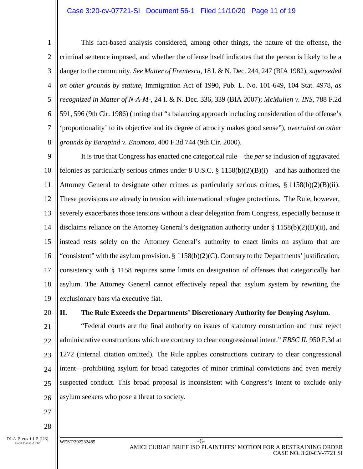#### Case 3:20-cv-07721-SI Document 56-1 Filed 11/10/20 Page 11 of 19

 $\mathcal{L}$ 3 4 5 6 7 8 This fact-based analysis considered, among other things, the nature of the offense, the criminal sentence imposed, and whether the offense itself indicates that the person is likely to be a danger to the community. *See Matter of Frentescu*, 18 I. & N. Dec. 244, 247 (BIA 1982), *superseded on other grounds by statute*, Immigration Act of 1990, Pub. L. No. 101-649, 104 Stat. 4978, *as recognized in Matter of N-A-M-*, 24 I. & N. Dec. 336, 339 (BIA 2007); *McMullen v. INS*, 788 F.2d 591, 596 (9th Cir. 1986) (noting that "a balancing approach including consideration of the offense's 'proportionality' to its objective and its degree of atrocity makes good sense"), *overruled on other grounds by Barapind v. Enomoto*, 400 F.3d 744 (9th Cir. 2000).

9 10 11 12 13 14 15 16 17 18 19 It is true that Congress has enacted one categorical rule—the *per se* inclusion of aggravated felonies as particularly serious crimes under  $8 \text{ U.S.C.} \$  $\frac{8 \text{ 1158(b)(2)(B)(i)} }{2 \text{ (B)(i)} }$  and has authorized the Attorney General to designate other crimes as particularly serious crimes,  $\S 1158(b)(2)(B)(ii)$ . These provisions are already in tension with international refugee protections. The Rule, however, severely exacerbates those tensions without a clear delegation from Congress, especially because it disclaims reliance on the Attorney General's designation authority under  $\S 1158(b)(2)(B)(ii)$ , and instead rests solely on the Attorney General's authority to enact limits on asylum that are "consistent" with the asylum provision. § 1158(b)(2)(C). Contrary to the Departments' justification, consistency with § 1158 requires some limits on designation of offenses that categorically bar asylum. The Attorney General cannot effectively repeal that asylum system by rewriting the exclusionary bars via executive fiat.

20

# **II. The Rule Exceeds the Departments' Discretionary Authority for Denying Asylum.**

21 22 23 24 25 26 "Federal courts are the final authority on issues of statutory construction and must reject administrative constructions which are contrary to clear congressional intent." *EBSC II*, 950 F.3d at 1272 (internal citation omitted). The Rule applies constructions contrary to clear congressional intent—prohibiting asylum for broad categories of minor criminal convictions and even merely suspected conduct. This broad proposal is inconsistent with Congress's intent to exclude only asylum seekers who pose a threat to society.

- 27 28
- DLA PIPER LLP (US)

EAST PALO ALTO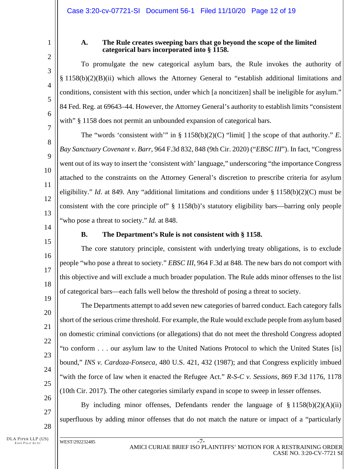2 3

4

5

6

7

8

9

10

11

12

13

15

16

17

18

19

20

21

22

23

24

25

26

27

1

## **A. The Rule creates sweeping bars that go beyond the scope of the limited categorical bars incorporated into § 1158.**

To promulgate the new categorical asylum bars, the Rule invokes the authority of § 1158(b)(2)(B)(ii) which allows the Attorney General to "establish additional limitations and conditions, consistent with this section, under which [a noncitizen] shall be ineligible for asylum." 84 Fed. Reg. at 69643–44. However, the Attorney General's authority to establish limits "consistent with" § 1158 does not permit an unbounded expansion of categorical bars.

The "words 'consistent with'" in § 1158(b)(2)(C) "limit[ ] the scope of that authority." *E. Bay Sanctuary Covenant v. Barr*, 964 F.3d 832, 848 (9th Cir. 2020) ("*EBSC III*"). In fact, "Congress went out of its way to insert the 'consistent with' language," underscoring "the importance Congress attached to the constraints on the Attorney General's discretion to prescribe criteria for asylum eligibility." *Id*. at 849. Any "additional limitations and conditions under § 1158(b)(2)(C) must be consistent with the core principle of" § 1158(b)'s statutory eligibility bars—barring only people "who pose a threat to society." *Id.* at 848.

14

# **B. The Department's Rule is not consistent with § 1158.**

The core statutory principle, consistent with underlying treaty obligations, is to exclude people "who pose a threat to society." *EBSC III*, 964 F.3d at 848. The new bars do not comport with this objective and will exclude a much broader population. The Rule adds minor offenses to the list of categorical bars—each falls well below the threshold of posing a threat to society.

The Departments attempt to add seven new categories of barred conduct. Each category falls short of the serious crime threshold. For example, the Rule would exclude people from asylum based on domestic criminal convictions (or allegations) that do not meet the threshold Congress adopted "to conform . . . our asylum law to the United Nations Protocol to which the United States [is] bound," *INS v. Cardoza-Fonseca*, 480 U.S. 421, 432 (1987); and that Congress explicitly imbued "with the force of law when it enacted the Refugee Act." *R-S-C v. Sessions*, 869 F.3d 1176, 1178 (10th Cir. 2017). The other categories similarly expand in scope to sweep in lesser offenses.

By including minor offenses, Defendants render the language of  $\S$  1158(b)(2)(A)(ii) superfluous by adding minor offenses that do not match the nature or impact of a "particularly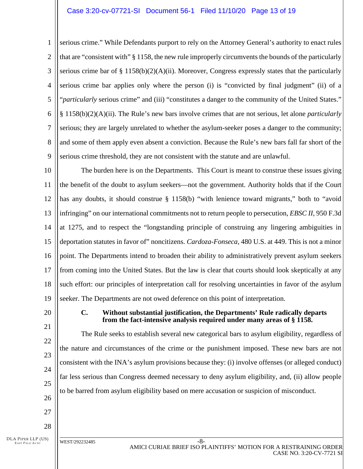#### Case 3:20-cv-07721-SI Document 56-1 Filed 11/10/20 Page 13 of 19

1  $\mathcal{D}_{\mathcal{L}}$ 3 4 5 6 7 8 9 serious crime." While Defendants purport to rely on the Attorney General's authority to enact rules that are "consistent with" § 1158, the new rule improperly circumvents the bounds of the particularly serious crime bar of § 1158(b)(2)(A)(ii). Moreover, Congress expressly states that the particularly serious crime bar applies only where the person (i) is "convicted by final judgment" (ii) of a "*particularly* serious crime" and (iii) "constitutes a danger to the community of the United States." § 1158(b)(2)(A)(ii). The Rule's new bars involve crimes that are not serious, let alone *particularly*  serious; they are largely unrelated to whether the asylum-seeker poses a danger to the community; and some of them apply even absent a conviction. Because the Rule's new bars fall far short of the serious crime threshold, they are not consistent with the statute and are unlawful.

10 11 12 13 14 15 16 17 18 19 The burden here is on the Departments. This Court is meant to construe these issues giving the benefit of the doubt to asylum seekers—not the government. Authority holds that if the Court has any doubts, it should construe § 1158(b) "with lenience toward migrants," both to "avoid infringing" on our international commitments not to return people to persecution, *EBSC II*, 950 F.3d at 1275, and to respect the "longstanding principle of construing any lingering ambiguities in deportation statutes in favor of" noncitizens. *Cardoza-Fonseca*, 480 U.S. at 449. This is not a minor point. The Departments intend to broaden their ability to administratively prevent asylum seekers from coming into the United States. But the law is clear that courts should look skeptically at any such effort: our principles of interpretation call for resolving uncertainties in favor of the asylum seeker. The Departments are not owed deference on this point of interpretation.

20

21

22

23

24

25

26

27

#### **C. Without substantial justification, the Departments' Rule radically departs from the fact-intensive analysis required under many areas of § 1158.**

The Rule seeks to establish several new categorical bars to asylum eligibility, regardless of the nature and circumstances of the crime or the punishment imposed. These new bars are not consistent with the INA's asylum provisions because they: (i) involve offenses (or alleged conduct) far less serious than Congress deemed necessary to deny asylum eligibility, and, (ii) allow people to be barred from asylum eligibility based on mere accusation or suspicion of misconduct.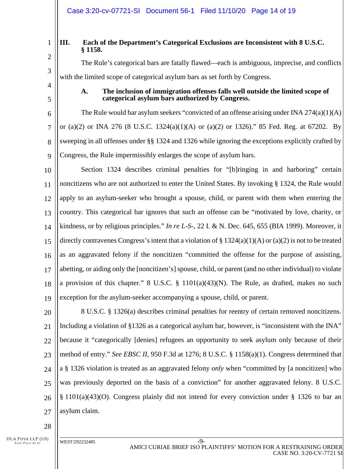#### Case 3:20-cv-07721-SI Document 56-1 Filed 11/10/20 Page 14 of 19

1 2

3

4

5

# **III. Each of the Department's Categorical Exclusions are Inconsistent with 8 U.S.C. § 1158.**

The Rule's categorical bars are fatally flawed—each is ambiguous, imprecise, and conflicts with the limited scope of categorical asylum bars as set forth by Congress.

**A. The inclusion of immigration offenses falls well outside the limited scope of categorical asylum bars authorized by Congress.** 

6 7 8 9 The Rule would bar asylum seekers "convicted of an offense arising under INA  $274(a)(1)(A)$ or (a)(2) or INA 276 (8 U.S.C. 1324(a)(1)(A) or (a)(2) or 1326)." 85 Fed. Reg. at 67202. By sweeping in all offenses under §§ 1324 and 1326 while ignoring the exceptions explicitly crafted by Congress, the Rule impermissibly enlarges the scope of asylum bars.

10 11 12 13 14 15 16 17 18 19 Section 1324 describes criminal penalties for "[b]ringing in and harboring" certain noncitizens who are not authorized to enter the United States. By invoking § 1324, the Rule would apply to an asylum-seeker who brought a spouse, child, or parent with them when entering the country. This categorical bar ignores that such an offense can be "motivated by love, charity, or kindness, or by religious principles." *In re L-S-*, 22 I. & N. Dec. 645, 655 (BIA 1999). Moreover, it directly contravenes Congress's intent that a violation of  $\S 1324(a)(1)(A)$  or  $(a)(2)$  is not to be treated as an aggravated felony if the noncitizen "committed the offense for the purpose of assisting, abetting, or aiding only the [noncitizen's] spouse, child, or parent (and no other individual) to violate a provision of this chapter." 8 U.S.C. § 1101(a)(43)(N). The Rule, as drafted, makes no such exception for the asylum-seeker accompanying a spouse, child, or parent.

20 21 22 23 24 25 26 27 8 U.S.C. § 1326(a) describes criminal penalties for reentry of certain removed noncitizens. Including a violation of §1326 as a categorical asylum bar, however, is "inconsistent with the INA" because it "categorically [denies] refugees an opportunity to seek asylum only because of their method of entry." *See EBSC II*, 950 F.3d at 1276; 8 U.S.C. § 1158(a)(1). Congress determined that a § 1326 violation is treated as an aggravated felony *only* when "committed by [a noncitizen] who was previously deported on the basis of a conviction" for another aggravated felony. 8 U.S.C. § 1101(a)(43)(O). Congress plainly did not intend for every conviction under § 1326 to bar an asylum claim.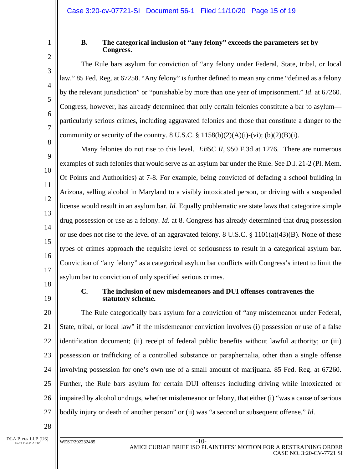4

5

6

7

8

9

10

11

12

13

14

15

16

17

1

## **B. The categorical inclusion of "any felony" exceeds the parameters set by Congress.**

The Rule bars asylum for conviction of "any felony under Federal, State, tribal, or local law." 85 Fed. Reg. at 67258. "Any felony" is further defined to mean any crime "defined as a felony by the relevant jurisdiction" or "punishable by more than one year of imprisonment." *Id*. at 67260. Congress, however, has already determined that only certain felonies constitute a bar to asylum particularly serious crimes, including aggravated felonies and those that constitute a danger to the community or security of the country.  $8 \text{ U.S.C.} \$ § 1158(b)(2)(A)(i)-(vi); (b)(2)(B)(i).

Many felonies do not rise to this level. *EBSC II*, 950 F.3d at 1276. There are numerous examples of such felonies that would serve as an asylum bar under the Rule. See D.I. 21-2 (Pl. Mem. Of Points and Authorities) at 7-8. For example, being convicted of defacing a school building in Arizona, selling alcohol in Maryland to a visibly intoxicated person, or driving with a suspended license would result in an asylum bar. *Id.* Equally problematic are state laws that categorize simple drug possession or use as a felony. *Id*. at 8. Congress has already determined that drug possession or use does not rise to the level of an aggravated felony. 8 U.S.C. § 1101(a)(43)(B). None of these types of crimes approach the requisite level of seriousness to result in a categorical asylum bar. Conviction of "any felony" as a categorical asylum bar conflicts with Congress's intent to limit the asylum bar to conviction of only specified serious crimes.

18

19

#### **C. The inclusion of new misdemeanors and DUI offenses contravenes the statutory scheme.**

20 21 22 23 24 25 26 27 The Rule categorically bars asylum for a conviction of "any misdemeanor under Federal, State, tribal, or local law" if the misdemeanor conviction involves (i) possession or use of a false identification document; (ii) receipt of federal public benefits without lawful authority; or (iii) possession or trafficking of a controlled substance or paraphernalia, other than a single offense involving possession for one's own use of a small amount of marijuana. 85 Fed. Reg. at 67260. Further, the Rule bars asylum for certain DUI offenses including driving while intoxicated or impaired by alcohol or drugs, whether misdemeanor or felony, that either (i) "was a cause of serious bodily injury or death of another person" or (ii) was "a second or subsequent offense." *Id*.

<sup>2</sup> 3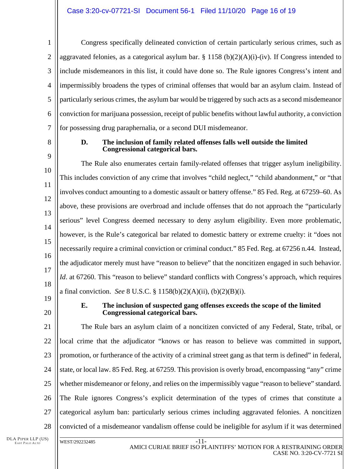3 4 6 7 Congress specifically delineated conviction of certain particularly serious crimes, such as aggravated felonies, as a categorical asylum bar. § 1158 (b)(2)(A)(i)-(iv). If Congress intended to include misdemeanors in this list, it could have done so. The Rule ignores Congress's intent and impermissibly broadens the types of criminal offenses that would bar an asylum claim. Instead of particularly serious crimes, the asylum bar would be triggered by such acts as a second misdemeanor conviction for marijuana possession, receipt of public benefits without lawful authority, a conviction for possessing drug paraphernalia, or a second DUI misdemeanor.

8 9

10

11

12

13

14

15

16

17

18

1

 $\mathcal{D}_{\mathcal{L}}$ 

5

# **D. The inclusion of family related offenses falls well outside the limited Congressional categorical bars.**

The Rule also enumerates certain family-related offenses that trigger asylum ineligibility. This includes conviction of any crime that involves "child neglect," "child abandonment," or "that involves conduct amounting to a domestic assault or battery offense." 85 Fed. Reg. at 67259–60. As above, these provisions are overbroad and include offenses that do not approach the "particularly serious" level Congress deemed necessary to deny asylum eligibility. Even more problematic, however, is the Rule's categorical bar related to domestic battery or extreme cruelty: it "does not necessarily require a criminal conviction or criminal conduct." 85 Fed. Reg. at 67256 n.44. Instead, the adjudicator merely must have "reason to believe" that the noncitizen engaged in such behavior. *Id.* at 67260. This "reason to believe" standard conflicts with Congress's approach, which requires a final conviction. *See* 8 U.S.C. § 1158(b)(2)(A)(ii), (b)(2)(B)(i).

- 19
- 20

# **E. The inclusion of suspected gang offenses exceeds the scope of the limited Congressional categorical bars.**

21 22 23 24 25 26 27 28 The Rule bars an asylum claim of a noncitizen convicted of any Federal, State, tribal, or local crime that the adjudicator "knows or has reason to believe was committed in support, promotion, or furtherance of the activity of a criminal street gang as that term is defined" in federal, state, or local law. 85 Fed. Reg. at 67259. This provision is overly broad, encompassing "any" crime whether misdemeanor or felony, and relies on the impermissibly vague "reason to believe" standard. The Rule ignores Congress's explicit determination of the types of crimes that constitute a categorical asylum ban: particularly serious crimes including aggravated felonies. A noncitizen convicted of a misdemeanor vandalism offense could be ineligible for asylum if it was determined

DLA PIPER LLP (US) EAST PALO ALTO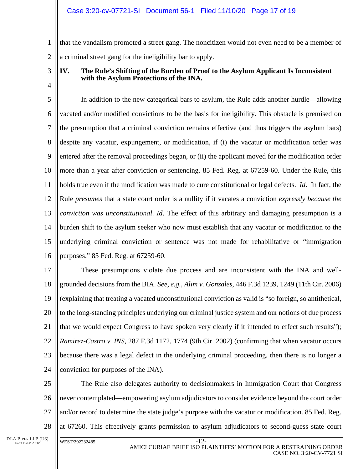1  $\mathcal{D}_{\mathcal{L}}$ that the vandalism promoted a street gang. The noncitizen would not even need to be a member of a criminal street gang for the ineligibility bar to apply.

3

4

# **IV. The Rule's Shifting of the Burden of Proof to the Asylum Applicant Is Inconsistent with the Asylum Protections of the INA.**

5 6 7 8 9 10 11 12 13 14 15 16 In addition to the new categorical bars to asylum, the Rule adds another hurdle—allowing vacated and/or modified convictions to be the basis for ineligibility. This obstacle is premised on the presumption that a criminal conviction remains effective (and thus triggers the asylum bars) despite any vacatur, expungement, or modification, if (i) the vacatur or modification order was entered after the removal proceedings began, or (ii) the applicant moved for the modification order more than a year after conviction or sentencing. 85 Fed. Reg. at 67259-60. Under the Rule, this holds true even if the modification was made to cure constitutional or legal defects. *Id*. In fact, the Rule *presumes* that a state court order is a nullity if it vacates a conviction *expressly because the conviction was unconstitutional*. *Id*. The effect of this arbitrary and damaging presumption is a burden shift to the asylum seeker who now must establish that any vacatur or modification to the underlying criminal conviction or sentence was not made for rehabilitative or "immigration purposes." 85 Fed. Reg. at 67259-60.

17 18 19 20 21 22 23 24 These presumptions violate due process and are inconsistent with the INA and wellgrounded decisions from the BIA. *See, e.g., Alim v. Gonzales*, 446 F.3d 1239, 1249 (11th Cir. 2006) (explaining that treating a vacated unconstitutional conviction as valid is "so foreign, so antithetical, to the long-standing principles underlying our criminal justice system and our notions of due process that we would expect Congress to have spoken very clearly if it intended to effect such results"); *Ramirez-Castro v. INS*, 287 F.3d 1172, 1774 (9th Cir. 2002) (confirming that when vacatur occurs because there was a legal defect in the underlying criminal proceeding, then there is no longer a conviction for purposes of the INA).

25 26 27 28 The Rule also delegates authority to decisionmakers in Immigration Court that Congress never contemplated—empowering asylum adjudicators to consider evidence beyond the court order and/or record to determine the state judge's purpose with the vacatur or modification. 85 Fed. Reg. at 67260. This effectively grants permission to asylum adjudicators to second-guess state court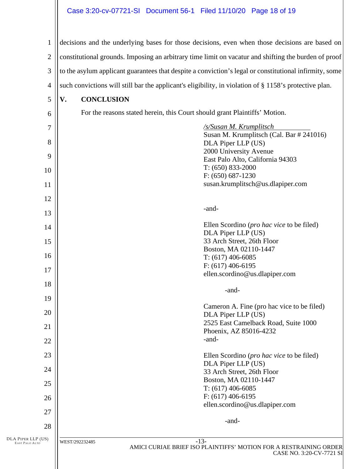# Case 3:20-cv-07721-SI Document 56-1 Filed 11/10/20 Page 18 of 19

| $\mathbf{1}$                         | decisions and the underlying bases for those decisions, even when those decisions are based on         |  |
|--------------------------------------|--------------------------------------------------------------------------------------------------------|--|
| $\overline{2}$                       | constitutional grounds. Imposing an arbitrary time limit on vacatur and shifting the burden of proof   |  |
| 3                                    | to the asylum applicant guarantees that despite a conviction's legal or constitutional infirmity, some |  |
| $\overline{4}$                       | such convictions will still bar the applicant's eligibility, in violation of § 1158's protective plan. |  |
| 5                                    | <b>CONCLUSION</b><br>V.                                                                                |  |
| 6                                    | For the reasons stated herein, this Court should grant Plaintiffs' Motion.                             |  |
| $\overline{7}$                       | /s/Susan M. Krumplitsch                                                                                |  |
| 8                                    | Susan M. Krumplitsch (Cal. Bar # 241016)<br>DLA Piper LLP (US)                                         |  |
| 9                                    | 2000 University Avenue<br>East Palo Alto, California 94303                                             |  |
| 10                                   | $T: (650) 833-2000$                                                                                    |  |
| 11                                   | $F: (650) 687-1230$<br>susan.krumplitsch@us.dlapiper.com                                               |  |
| 12                                   |                                                                                                        |  |
| 13                                   | -and-                                                                                                  |  |
| 14                                   | Ellen Scordino ( <i>pro hac vice</i> to be filed)                                                      |  |
| 15                                   | DLA Piper LLP (US)<br>33 Arch Street, 26th Floor                                                       |  |
|                                      | Boston, MA 02110-1447                                                                                  |  |
| 16                                   | $T: (617)$ 406-6085<br>$F: (617) 406-6195$                                                             |  |
| 17                                   | ellen.scordino@us.dlapiper.com                                                                         |  |
| 18                                   | -and-                                                                                                  |  |
| 19                                   | Cameron A. Fine (pro hac vice to be filed)                                                             |  |
| 20                                   | DLA Piper LLP (US)<br>2525 East Camelback Road, Suite 1000                                             |  |
| 21                                   | Phoenix, AZ 85016-4232                                                                                 |  |
| 22                                   | -and-                                                                                                  |  |
| 23                                   | Ellen Scordino (pro hac vice to be filed)<br>DLA Piper LLP (US)                                        |  |
| 24                                   | 33 Arch Street, 26th Floor                                                                             |  |
| 25                                   | Boston, MA 02110-1447<br>$T: (617)$ 406-6085                                                           |  |
| 26                                   | $F: (617) 406-6195$<br>ellen.scordino@us.dlapiper.com                                                  |  |
| 27                                   |                                                                                                        |  |
| 28                                   | -and-                                                                                                  |  |
| DLA PIPER LLP (US)<br>EAST PALO ALTO | $-13-$<br>WEST/292232485<br>AMICI CURIAE BRIEF ISO PLAINTIFFS' MOTION FOR A RESTRAINING ORDER          |  |
|                                      | CASE NO. 3:20-CV-7721 SI                                                                               |  |